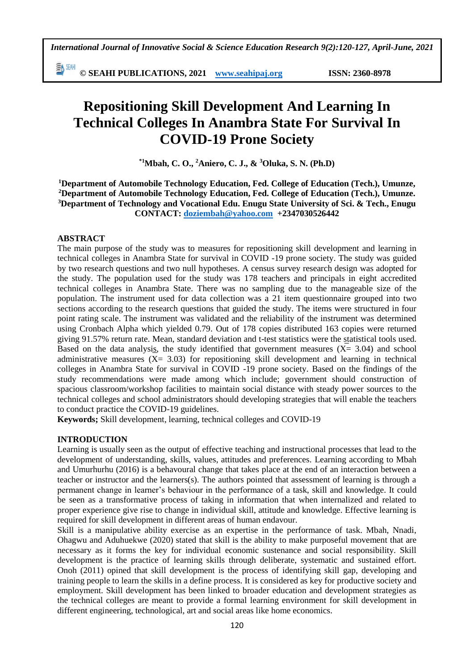EN SEMI **© SEAHI PUBLICATIONS, 2021 [www.seahipaj.org](http://www.seahipaj.org/) ISSN: 2360-8978**

# **Repositioning Skill Development And Learning In Technical Colleges In Anambra State For Survival In COVID-19 Prone Society**

**\*1Mbah, C. O., <sup>2</sup>Aniero, C. J., & <sup>3</sup>Oluka, S. N. (Ph.D)**

**Department of Automobile Technology Education, Fed. College of Education (Tech.), Umunze, Department of Automobile Technology Education, Fed. College of Education (Tech.), Umunze. Department of Technology and Vocational Edu. Enugu State University of Sci. & Tech., Enugu CONTACT: [doziembah@yahoo.com](mailto:doziembah@yahoo.com) +2347030526442**

#### **ABSTRACT**

The main purpose of the study was to measures for repositioning skill development and learning in technical colleges in Anambra State for survival in COVID -19 prone society. The study was guided by two research questions and two null hypotheses. A census survey research design was adopted for the study. The population used for the study was 178 teachers and principals in eight accredited technical colleges in Anambra State. There was no sampling due to the manageable size of the population. The instrument used for data collection was a 21 item questionnaire grouped into two sections according to the research questions that guided the study. The items were structured in four point rating scale. The instrument was validated and the reliability of the instrument was determined using Cronbach Alpha which yielded 0.79. Out of 178 copies distributed 163 copies were returned giving 91.57% return rate. Mean, standard deviation and t-test statistics were the statistical tools used. Based on the data analysis, the study identified that government measures  $(X = 3.04)$  and school administrative measures  $(X = 3.03)$  for repositioning skill development and learning in technical colleges in Anambra State for survival in COVID -19 prone society. Based on the findings of the study recommendations were made among which include; government should construction of spacious classroom/workshop facilities to maintain social distance with steady power sources to the technical colleges and school administrators should developing strategies that will enable the teachers to conduct practice the COVID-19 guidelines.

**Keywords;** Skill development, learning, technical colleges and COVID-19

#### **INTRODUCTION**

Learning is usually seen as the output of effective teaching and instructional processes that lead to the development of understanding, skills, values, attitudes and preferences. Learning according to Mbah and Umurhurhu (2016) is a behavoural change that takes place at the end of an interaction between a teacher or instructor and the learners(s). The authors pointed that assessment of learning is through a permanent change in learner's behaviour in the performance of a task, skill and knowledge. It could be seen as a transformative process of taking in information that when internalized and related to proper experience give rise to change in individual skill, attitude and knowledge. Effective learning is required for skill development in different areas of human endavour.

Skill is a manipulative ability exercise as an expertise in the performance of task. Mbah, Nnadi, Ohagwu and Aduhuekwe (2020) stated that skill is the ability to make purposeful movement that are necessary as it forms the key for individual economic sustenance and social responsibility. Skill development is the practice of learning skills through deliberate, systematic and sustained effort. Onoh (2011) opined that skill development is the process of identifying skill gap, developing and training people to learn the skills in a define process. It is considered as key for productive society and employment. Skill development has been linked to broader education and development strategies as the technical colleges are meant to provide a formal learning environment for skill development in different engineering, technological, art and social areas like home economics.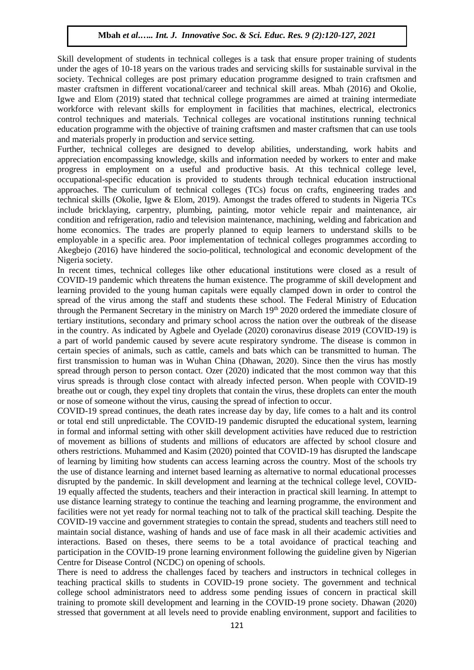Skill development of students in technical colleges is a task that ensure proper training of students under the ages of 10-18 years on the various trades and servicing skills for sustainable survival in the society. Technical colleges are post primary education programme designed to train craftsmen and master craftsmen in different vocational/career and technical skill areas. Mbah (2016) and Okolie, Igwe and Elom (2019) stated that technical college programmes are aimed at training intermediate workforce with relevant skills for employment in facilities that machines, electrical, electronics control techniques and materials. Technical colleges are vocational institutions running technical education programme with the objective of training craftsmen and master craftsmen that can use tools and materials properly in production and service setting.

Further, technical colleges are designed to develop abilities, understanding, work habits and appreciation encompassing knowledge, skills and information needed by workers to enter and make progress in employment on a useful and productive basis. At this technical college level, occupational-specific education is provided to students through technical education instructional approaches. The curriculum of technical colleges (TCs) focus on crafts, engineering trades and technical skills (Okolie, Igwe & Elom, 2019). Amongst the trades offered to students in Nigeria TCs include bricklaying, carpentry, plumbing, painting, motor vehicle repair and maintenance, air condition and refrigeration, radio and television maintenance, machining, welding and fabrication and home economics. The trades are properly planned to equip learners to understand skills to be employable in a specific area. Poor implementation of technical colleges programmes according to Akegbejo (2016) have hindered the socio-political, technological and economic development of the Nigeria society.

In recent times, technical colleges like other educational institutions were closed as a result of COVID-19 pandemic which threatens the human existence. The programme of skill development and learning provided to the young human capitals were equally clamped down in order to control the spread of the virus among the staff and students these school. The Federal Ministry of Education through the Permanent Secretary in the ministry on March 19<sup>th</sup> 2020 ordered the immediate closure of tertiary institutions, secondary and primary school across the nation over the outbreak of the disease in the country. As indicated by Agbele and Oyelade (2020) coronavirus disease 2019 (COVID-19) is a part of world pandemic caused by severe acute respiratory syndrome. The disease is common in certain species of animals, such as cattle, camels and bats which can be transmitted to human. The first transmission to human was in Wuhan China (Dhawan, 2020). Since then the virus has mostly spread through person to person contact. Ozer (2020) indicated that the most common way that this virus spreads is through close contact with already infected person. When people with COVID-19 breathe out or cough, they expel tiny droplets that contain the virus, these droplets can enter the mouth or nose of someone without the virus, causing the spread of infection to occur.

COVID-19 spread continues, the death rates increase day by day, life comes to a halt and its control or total end still unpredictable. The COVID-19 pandemic disrupted the educational system, learning in formal and informal setting with other skill development activities have reduced due to restriction of movement as billions of students and millions of educators are affected by school closure and others restrictions. Muhammed and Kasim (2020) pointed that COVID-19 has disrupted the landscape of learning by limiting how students can access learning across the country. Most of the schools try the use of distance learning and internet based learning as alternative to normal educational processes disrupted by the pandemic. In skill development and learning at the technical college level, COVID-19 equally affected the students, teachers and their interaction in practical skill learning. In attempt to use distance learning strategy to continue the teaching and learning programme, the environment and facilities were not yet ready for normal teaching not to talk of the practical skill teaching. Despite the COVID-19 vaccine and government strategies to contain the spread, students and teachers still need to maintain social distance, washing of hands and use of face mask in all their academic activities and interactions. Based on theses, there seems to be a total avoidance of practical teaching and participation in the COVID-19 prone learning environment following the guideline given by Nigerian Centre for Disease Control (NCDC) on opening of schools.

There is need to address the challenges faced by teachers and instructors in technical colleges in teaching practical skills to students in COVID-19 prone society. The government and technical college school administrators need to address some pending issues of concern in practical skill training to promote skill development and learning in the COVID-19 prone society. Dhawan (2020) stressed that government at all levels need to provide enabling environment, support and facilities to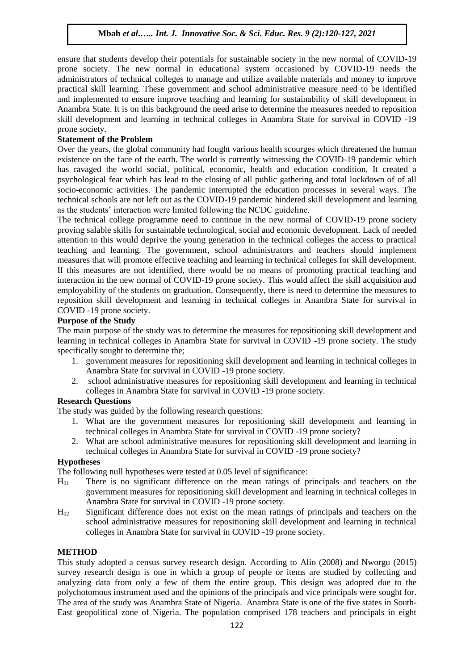ensure that students develop their potentials for sustainable society in the new normal of COVID-19 prone society. The new normal in educational system occasioned by COVID-19 needs the administrators of technical colleges to manage and utilize available materials and money to improve practical skill learning. These government and school administrative measure need to be identified and implemented to ensure improve teaching and learning for sustainability of skill development in Anambra State. It is on this background the need arise to determine the measures needed to reposition skill development and learning in technical colleges in Anambra State for survival in COVID -19 prone society.

# **Statement of the Problem**

Over the years, the global community had fought various health scourges which threatened the human existence on the face of the earth. The world is currently witnessing the COVID-19 pandemic which has ravaged the world social, political, economic, health and education condition. It created a psychological fear which has lead to the closing of all public gathering and total lockdown of of all socio-economic activities. The pandemic interrupted the education processes in several ways. The technical schools are not left out as the COVID-19 pandemic hindered skill development and learning as the students' interaction were limited following the NCDC guideline.

The technical college programme need to continue in the new normal of COVID-19 prone society proving salable skills for sustainable technological, social and economic development. Lack of needed attention to this would deprive the young generation in the technical colleges the access to practical teaching and learning. The government, school administrators and teachers should implement measures that will promote effective teaching and learning in technical colleges for skill development. If this measures are not identified, there would be no means of promoting practical teaching and interaction in the new normal of COVID-19 prone society. This would affect the skill acquisition and employability of the students on graduation. Consequently, there is need to determine the measures to reposition skill development and learning in technical colleges in Anambra State for survival in COVID -19 prone society.

### **Purpose of the Study**

The main purpose of the study was to determine the measures for repositioning skill development and learning in technical colleges in Anambra State for survival in COVID -19 prone society. The study specifically sought to determine the;

- 1. government measures for repositioning skill development and learning in technical colleges in Anambra State for survival in COVID -19 prone society.
- 2. school administrative measures for repositioning skill development and learning in technical colleges in Anambra State for survival in COVID -19 prone society.

#### **Research Questions**

The study was guided by the following research questions:

- 1. What are the government measures for repositioning skill development and learning in technical colleges in Anambra State for survival in COVID -19 prone society?
- 2. What are school administrative measures for repositioning skill development and learning in technical colleges in Anambra State for survival in COVID -19 prone society?

#### **Hypotheses**

The following null hypotheses were tested at 0.05 level of significance:

- H<sup>01</sup> There is no significant difference on the mean ratings of principals and teachers on the government measures for repositioning skill development and learning in technical colleges in Anambra State for survival in COVID -19 prone society.
- $H_{02}$  Significant difference does not exist on the mean ratings of principals and teachers on the school administrative measures for repositioning skill development and learning in technical colleges in Anambra State for survival in COVID -19 prone society.

#### **METHOD**

This study adopted a census survey research design. According to Alio (2008) and Nworgu (2015) survey research design is one in which a group of people or items are studied by collecting and analyzing data from only a few of them the entire group. This design was adopted due to the polychotomous instrument used and the opinions of the principals and vice principals were sought for. The area of the study was Anambra State of Nigeria. Anambra State is one of the five states in South-East geopolitical zone of Nigeria. The population comprised 178 teachers and principals in eight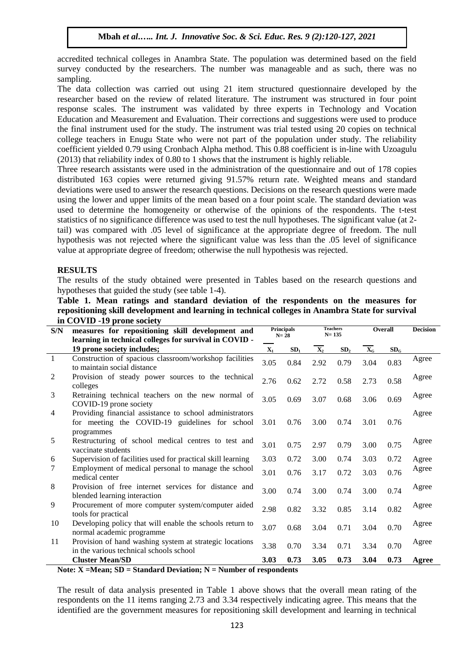accredited technical colleges in Anambra State. The population was determined based on the field survey conducted by the researchers. The number was manageable and as such, there was no sampling.

The data collection was carried out using 21 item structured questionnaire developed by the researcher based on the review of related literature. The instrument was structured in four point response scales. The instrument was validated by three experts in Technology and Vocation Education and Measurement and Evaluation. Their corrections and suggestions were used to produce the final instrument used for the study. The instrument was trial tested using 20 copies on technical college teachers in Enugu State who were not part of the population under study. The reliability coefficient yielded 0.79 using Cronbach Alpha method. This 0.88 coefficient is in-line with Uzoagulu (2013) that reliability index of 0.80 to 1 shows that the instrument is highly reliable.

Three research assistants were used in the administration of the questionnaire and out of 178 copies distributed 163 copies were returned giving 91.57% return rate. Weighted means and standard deviations were used to answer the research questions. Decisions on the research questions were made using the lower and upper limits of the mean based on a four point scale. The standard deviation was used to determine the homogeneity or otherwise of the opinions of the respondents. The t-test statistics of no significance difference was used to test the null hypotheses. The significant value (at 2 tail) was compared with .05 level of significance at the appropriate degree of freedom. The null hypothesis was not rejected where the significant value was less than the .05 level of significance value at appropriate degree of freedom; otherwise the null hypothesis was rejected.

# **RESULTS**

The results of the study obtained were presented in Tables based on the research questions and hypotheses that guided the study (see table 1-4).

| Table 1. Mean ratings and standard deviation of the respondents on the measures for              |  |  |  |  |  |  |
|--------------------------------------------------------------------------------------------------|--|--|--|--|--|--|
| repositioning skill development and learning in technical colleges in Anambra State for survival |  |  |  |  |  |  |
| in COVID -19 prone society                                                                       |  |  |  |  |  |  |

| S/N            | measures for repositioning skill development and                                                                                                                                                                                                                                                                                                                  |                | <b>Principals</b> | <b>Teachers</b><br>$N = 135$ |                 | Overall                   |                 | <b>Decision</b> |
|----------------|-------------------------------------------------------------------------------------------------------------------------------------------------------------------------------------------------------------------------------------------------------------------------------------------------------------------------------------------------------------------|----------------|-------------------|------------------------------|-----------------|---------------------------|-----------------|-----------------|
|                | learning in technical colleges for survival in COVID -                                                                                                                                                                                                                                                                                                            |                | $N = 28$          |                              |                 |                           |                 |                 |
|                | 19 prone society includes;                                                                                                                                                                                                                                                                                                                                        | $\mathbf{X}_1$ | SD <sub>1</sub>   | $\overline{\mathbf{X}_2}$    | SD <sub>2</sub> | $\overline{\mathbf{X}}_G$ | SD <sub>c</sub> |                 |
| $\overline{1}$ | Construction of spacious classroom/workshop facilities<br>to maintain social distance                                                                                                                                                                                                                                                                             | 3.05           | 0.84              | 2.92                         | 0.79            | 3.04                      | 0.83            | Agree           |
| $\overline{2}$ | Provision of steady power sources to the technical<br>colleges                                                                                                                                                                                                                                                                                                    | 2.76           | 0.62              | 2.72                         | 0.58            | 2.73                      | 0.58            | Agree           |
| 3              | Retraining technical teachers on the new normal of<br>COVID-19 prone society                                                                                                                                                                                                                                                                                      | 3.05           | 0.69              | 3.07                         | 0.68            | 3.06                      | 0.69            | Agree           |
| $\overline{4}$ | Providing financial assistance to school administrators<br>for meeting the COVID-19 guidelines for school<br>programmes                                                                                                                                                                                                                                           | 3.01           | 0.76              | 3.00                         | 0.74            | 3.01                      | 0.76            | Agree           |
| 5              | Restructuring of school medical centres to test and<br>vaccinate students                                                                                                                                                                                                                                                                                         | 3.01           | 0.75              | 2.97                         | 0.79            | 3.00                      | 0.75            | Agree           |
| 6              | Supervision of facilities used for practical skill learning                                                                                                                                                                                                                                                                                                       | 3.03           | 0.72              | 3.00                         | 0.74            | 3.03                      | 0.72            | Agree           |
| 7              | Employment of medical personal to manage the school<br>medical center                                                                                                                                                                                                                                                                                             | 3.01           | 0.76              | 3.17                         | 0.72            | 3.03                      | 0.76            | Agree           |
| 8              | Provision of free internet services for distance and<br>blended learning interaction                                                                                                                                                                                                                                                                              | 3.00           | 0.74              | 3.00                         | 0.74            | 3.00                      | 0.74            | Agree           |
| 9              | Procurement of more computer system/computer aided<br>tools for practical                                                                                                                                                                                                                                                                                         | 2.98           | 0.82              | 3.32                         | 0.85            | 3.14                      | 0.82            | Agree           |
| 10             | Developing policy that will enable the schools return to<br>normal academic programme                                                                                                                                                                                                                                                                             | 3.07           | 0.68              | 3.04                         | 0.71            | 3.04                      | 0.70            | Agree           |
| 11             | Provision of hand washing system at strategic locations<br>in the various technical schools school                                                                                                                                                                                                                                                                | 3.38           | 0.70              | 3.34                         | 0.71            | 3.34                      | 0.70            | Agree           |
|                | <b>Cluster Mean/SD</b><br>$\mathbf{M}$ $\mathbf{M}$ $\mathbf{M}$ $\mathbf{M}$ $\mathbf{M}$ $\mathbf{M}$ $\mathbf{M}$ $\mathbf{M}$ $\mathbf{M}$ $\mathbf{M}$ $\mathbf{M}$ $\mathbf{M}$ $\mathbf{M}$ $\mathbf{M}$ $\mathbf{M}$ $\mathbf{M}$ $\mathbf{M}$ $\mathbf{M}$ $\mathbf{M}$ $\mathbf{M}$ $\mathbf{M}$ $\mathbf{M}$ $\mathbf{M}$ $\mathbf{M}$ $\mathbf{$<br>e | 3.03           | 0.73              | 3.05                         | 0.73            | 3.04                      | 0.73            | Agree           |

**Note: X =Mean; SD = Standard Deviation; N = Number of respondents**

The result of data analysis presented in Table 1 above shows that the overall mean rating of the respondents on the 11 items ranging 2.73 and 3.34 respectively indicating agree. This means that the identified are the government measures for repositioning skill development and learning in technical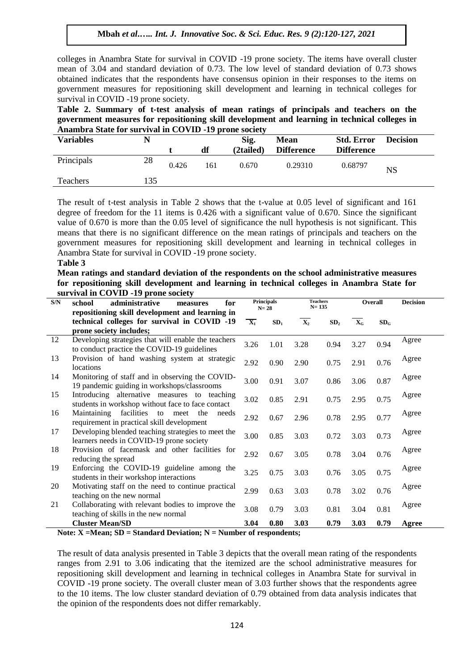colleges in Anambra State for survival in COVID -19 prone society. The items have overall cluster mean of 3.04 and standard deviation of 0.73. The low level of standard deviation of 0.73 shows obtained indicates that the respondents have consensus opinion in their responses to the items on government measures for repositioning skill development and learning in technical colleges for survival in COVID -19 prone society.

**Table 2. Summary of t-test analysis of mean ratings of principals and teachers on the government measures for repositioning skill development and learning in technical colleges in Anambra State for survival in COVID -19 prone society**

| <b>Variables</b><br>N |     |       |     | Sig.      | <b>Mean</b>       | <b>Std. Error</b> | <b>Decision</b> |
|-----------------------|-----|-------|-----|-----------|-------------------|-------------------|-----------------|
|                       |     |       | df  | (2tailed) | <b>Difference</b> | <b>Difference</b> |                 |
| Principals            | 28  | 0.426 | 161 | 0.670     | 0.29310           | 0.68797           | <b>NS</b>       |
| Teachers              | 135 |       |     |           |                   |                   |                 |

The result of t-test analysis in Table 2 shows that the t-value at 0.05 level of significant and 161 degree of freedom for the 11 items is 0.426 with a significant value of 0.670. Since the significant value of 0.670 is more than the 0.05 level of significance the null hypothesis is not significant. This means that there is no significant difference on the mean ratings of principals and teachers on the government measures for repositioning skill development and learning in technical colleges in Anambra State for survival in COVID -19 prone society.

#### **Table 3**

**Mean ratings and standard deviation of the respondents on the school administrative measures for repositioning skill development and learning in technical colleges in Anambra State for survival in COVID -19 prone society**

| S/N | administrative<br>for<br>school<br>measures                                                                                |                  | <b>Principals</b><br>$N=28$ |                | <b>Teachers</b><br>$N = 135$ |                           | Overall         | <b>Decision</b> |
|-----|----------------------------------------------------------------------------------------------------------------------------|------------------|-----------------------------|----------------|------------------------------|---------------------------|-----------------|-----------------|
|     | repositioning skill development and learning in<br>technical colleges for survival in COVID -19<br>prone society includes; | $\overline{X_1}$ | SD <sub>1</sub>             | $\mathbf{X}_2$ | SD <sub>2</sub>              | $\mathbf{X}_{\mathbf{G}}$ | SD <sub>G</sub> |                 |
| 12  | Developing strategies that will enable the teachers<br>to conduct practice the COVID-19 guidelines                         | 3.26             | 1.01                        | 3.28           | 0.94                         | 3.27                      | 0.94            | Agree           |
| 13  | Provision of hand washing system at strategic<br>locations                                                                 | 2.92             | 0.90                        | 2.90           | 0.75                         | 2.91                      | 0.76            | Agree           |
| 14  | Monitoring of staff and in observing the COVID-<br>19 pandemic guiding in workshops/classrooms                             | 3.00             | 0.91                        | 3.07           | 0.86                         | 3.06                      | 0.87            | Agree           |
| 15  | Introducing alternative measures to teaching<br>students in workshop without face to face contact                          | 3.02             | 0.85                        | 2.91           | 0.75                         | 2.95                      | 0.75            | Agree           |
| 16  | Maintaining facilities to meet the<br>needs<br>requirement in practical skill development                                  | 2.92             | 0.67                        | 2.96           | 0.78                         | 2.95                      | 0.77            | Agree           |
| 17  | Developing blended teaching strategies to meet the<br>learners needs in COVID-19 prone society                             | 3.00             | 0.85                        | 3.03           | 0.72                         | 3.03                      | 0.73            | Agree           |
| 18  | Provision of facemask and other facilities for<br>reducing the spread                                                      | 2.92             | 0.67                        | 3.05           | 0.78                         | 3.04                      | 0.76            | Agree           |
| 19  | Enforcing the COVID-19 guideline among the<br>students in their workshop interactions                                      | 3.25             | 0.75                        | 3.03           | 0.76                         | 3.05                      | 0.75            | Agree           |
| 20  | Motivating staff on the need to continue practical<br>teaching on the new normal                                           | 2.99             | 0.63                        | 3.03           | 0.78                         | 3.02                      | 0.76            | Agree           |
| 21  | Collaborating with relevant bodies to improve the<br>teaching of skills in the new normal                                  | 3.08             | 0.79                        | 3.03           | 0.81                         | 3.04                      | 0.81            | Agree           |
|     | <b>Cluster Mean/SD</b>                                                                                                     | 3.04             | 0.80                        | 3.03           | 0.79                         | 3.03                      | 0.79            | Agree           |

**Note: X =Mean; SD = Standard Deviation; N = Number of respondents;** 

The result of data analysis presented in Table 3 depicts that the overall mean rating of the respondents ranges from 2.91 to 3.06 indicating that the itemized are the school administrative measures for repositioning skill development and learning in technical colleges in Anambra State for survival in COVID -19 prone society. The overall cluster mean of 3.03 further shows that the respondents agree to the 10 items. The low cluster standard deviation of 0.79 obtained from data analysis indicates that the opinion of the respondents does not differ remarkably.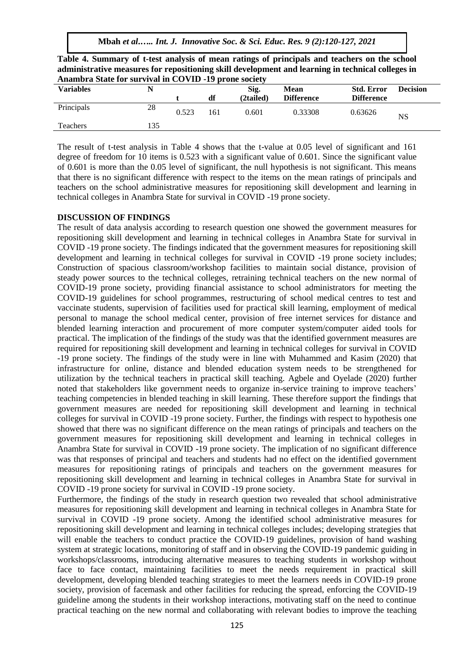**Mbah** *et al***.***….. Int. J. Innovative Soc. & Sci. Educ. Res. 9 (2):120-127, 2021*

| Table 4. Summary of t-test analysis of mean ratings of principals and teachers on the school      |
|---------------------------------------------------------------------------------------------------|
| administrative measures for repositioning skill development and learning in technical colleges in |
| Anambra State for survival in COVID -19 prone society                                             |

| <b>Variables</b> |     |       |     | Sig.      | Mean              | <b>Std. Error</b> | <b>Decision</b> |
|------------------|-----|-------|-----|-----------|-------------------|-------------------|-----------------|
|                  |     |       | df  | (2tailed) | <b>Difference</b> | <b>Difference</b> |                 |
| Principals       | 28  | 0.523 | 161 | 0.601     | 0.33308           | 0.63626           | $_{\rm NS}$     |
| Teachers         | 135 |       |     |           |                   |                   |                 |

The result of t-test analysis in Table 4 shows that the t-value at 0.05 level of significant and 161 degree of freedom for 10 items is 0.523 with a significant value of 0.601. Since the significant value of 0.601 is more than the 0.05 level of significant, the null hypothesis is not significant. This means that there is no significant difference with respect to the items on the mean ratings of principals and teachers on the school administrative measures for repositioning skill development and learning in technical colleges in Anambra State for survival in COVID -19 prone society.

# **DISCUSSION OF FINDINGS**

The result of data analysis according to research question one showed the government measures for repositioning skill development and learning in technical colleges in Anambra State for survival in COVID -19 prone society. The findings indicated that the government measures for repositioning skill development and learning in technical colleges for survival in COVID -19 prone society includes; Construction of spacious classroom/workshop facilities to maintain social distance, provision of steady power sources to the technical colleges, retraining technical teachers on the new normal of COVID-19 prone society, providing financial assistance to school administrators for meeting the COVID-19 guidelines for school programmes, restructuring of school medical centres to test and vaccinate students, supervision of facilities used for practical skill learning, employment of medical personal to manage the school medical center, provision of free internet services for distance and blended learning interaction and procurement of more computer system/computer aided tools for practical. The implication of the findings of the study was that the identified government measures are required for repositioning skill development and learning in technical colleges for survival in COVID -19 prone society. The findings of the study were in line with Muhammed and Kasim (2020) that infrastructure for online, distance and blended education system needs to be strengthened for utilization by the technical teachers in practical skill teaching. Agbele and Oyelade (2020) further noted that stakeholders like government needs to organize in-service training to improve teachers' teaching competencies in blended teaching in skill learning. These therefore support the findings that government measures are needed for repositioning skill development and learning in technical colleges for survival in COVID -19 prone society. Further, the findings with respect to hypothesis one showed that there was no significant difference on the mean ratings of principals and teachers on the government measures for repositioning skill development and learning in technical colleges in Anambra State for survival in COVID -19 prone society. The implication of no significant difference was that responses of principal and teachers and students had no effect on the identified government measures for repositioning ratings of principals and teachers on the government measures for repositioning skill development and learning in technical colleges in Anambra State for survival in COVID -19 prone society for survival in COVID -19 prone society.

Furthermore, the findings of the study in research question two revealed that school administrative measures for repositioning skill development and learning in technical colleges in Anambra State for survival in COVID -19 prone society. Among the identified school administrative measures for repositioning skill development and learning in technical colleges includes; developing strategies that will enable the teachers to conduct practice the COVID-19 guidelines, provision of hand washing system at strategic locations, monitoring of staff and in observing the COVID-19 pandemic guiding in workshops/classrooms, introducing alternative measures to teaching students in workshop without face to face contact, maintaining facilities to meet the needs requirement in practical skill development, developing blended teaching strategies to meet the learners needs in COVID-19 prone society, provision of facemask and other facilities for reducing the spread, enforcing the COVID-19 guideline among the students in their workshop interactions, motivating staff on the need to continue practical teaching on the new normal and collaborating with relevant bodies to improve the teaching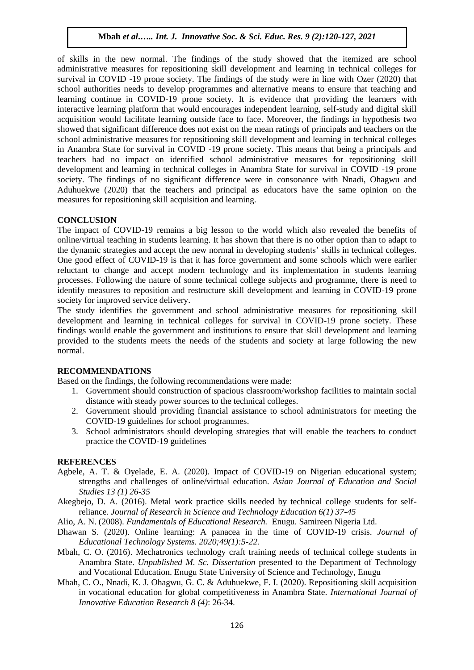of skills in the new normal. The findings of the study showed that the itemized are school administrative measures for repositioning skill development and learning in technical colleges for survival in COVID -19 prone society. The findings of the study were in line with Ozer (2020) that school authorities needs to develop programmes and alternative means to ensure that teaching and learning continue in COVID-19 prone society. It is evidence that providing the learners with interactive learning platform that would encourages independent learning, self-study and digital skill acquisition would facilitate learning outside face to face. Moreover, the findings in hypothesis two showed that significant difference does not exist on the mean ratings of principals and teachers on the school administrative measures for repositioning skill development and learning in technical colleges in Anambra State for survival in COVID -19 prone society. This means that being a principals and teachers had no impact on identified school administrative measures for repositioning skill development and learning in technical colleges in Anambra State for survival in COVID -19 prone society. The findings of no significant difference were in consonance with Nnadi, Ohagwu and Aduhuekwe (2020) that the teachers and principal as educators have the same opinion on the measures for repositioning skill acquisition and learning.

#### **CONCLUSION**

The impact of COVID-19 remains a big lesson to the world which also revealed the benefits of online/virtual teaching in students learning. It has shown that there is no other option than to adapt to the dynamic strategies and accept the new normal in developing students' skills in technical colleges. One good effect of COVID-19 is that it has force government and some schools which were earlier reluctant to change and accept modern technology and its implementation in students learning processes. Following the nature of some technical college subjects and programme, there is need to identify measures to reposition and restructure skill development and learning in COVID-19 prone society for improved service delivery.

The study identifies the government and school administrative measures for repositioning skill development and learning in technical colleges for survival in COVID-19 prone society. These findings would enable the government and institutions to ensure that skill development and learning provided to the students meets the needs of the students and society at large following the new normal.

#### **RECOMMENDATIONS**

Based on the findings, the following recommendations were made:

- 1. Government should construction of spacious classroom/workshop facilities to maintain social distance with steady power sources to the technical colleges.
- 2. Government should providing financial assistance to school administrators for meeting the COVID-19 guidelines for school programmes.
- 3. School administrators should developing strategies that will enable the teachers to conduct practice the COVID-19 guidelines

#### **REFERENCES**

- Agbele, A. T. & Oyelade, E. A. (2020). Impact of COVID-19 on Nigerian educational system; strengths and challenges of online/virtual education. *Asian Journal of Education and Social Studies 13 (1) 26-35*
- Akegbejo, D. A. (2016). Metal work practice skills needed by technical college students for selfreliance. *Journal of Research in Science and Technology Education 6(1) 37-45*
- Alio, A. N. (2008). *Fundamentals of Educational Research.* Enugu. Samireen Nigeria Ltd.
- Dhawan S. (2020). Online learning: A panacea in the time of COVID-19 crisis. *Journal of Educational Technology Systems. 2020;49(1):5-22.*
- Mbah, C. O. (2016). Mechatronics technology craft training needs of technical college students in Anambra State. *Unpublished M. Sc. Dissertation* presented to the Department of Technology and Vocational Education. Enugu State University of Science and Technology, Enugu
- Mbah, C. O., Nnadi, K. J. Ohagwu, G. C. & Aduhuekwe, F. I. (2020). Repositioning skill acquisition in vocational education for global competitiveness in Anambra State. *International Journal of Innovative Education Research 8 (4)*: 26-34.